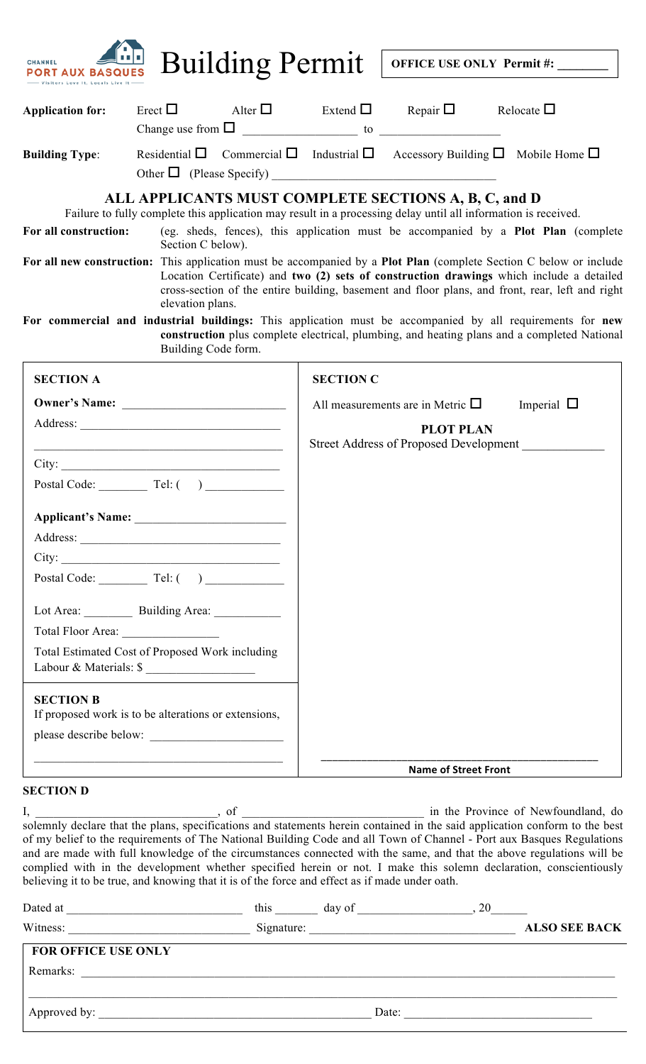| <b>AUX BASQUES</b><br>ors Love It, Locals Live |                                                                           | <b>Building Permit</b> |                                                                                                                        | OFFICE USE ONLY Permit#:                                                                                                                                               |                                                                                                                                                                                                                                                                                                                                                                                                                                                                                                                               |  |
|------------------------------------------------|---------------------------------------------------------------------------|------------------------|------------------------------------------------------------------------------------------------------------------------|------------------------------------------------------------------------------------------------------------------------------------------------------------------------|-------------------------------------------------------------------------------------------------------------------------------------------------------------------------------------------------------------------------------------------------------------------------------------------------------------------------------------------------------------------------------------------------------------------------------------------------------------------------------------------------------------------------------|--|
| <b>Application for:</b>                        | Erect $\Box$                                                              |                        |                                                                                                                        | Alter $\square$ Extend $\square$ Repair $\square$ Relocate $\square$                                                                                                   |                                                                                                                                                                                                                                                                                                                                                                                                                                                                                                                               |  |
| <b>Building Type:</b>                          |                                                                           |                        |                                                                                                                        | Residential $\Box$ Commercial $\Box$ Industrial $\Box$ Accessory Building $\Box$ Mobile Home $\Box$                                                                    |                                                                                                                                                                                                                                                                                                                                                                                                                                                                                                                               |  |
| For all construction:                          |                                                                           |                        |                                                                                                                        | ALL APPLICANTS MUST COMPLETE SECTIONS A, B, C, and D<br>Failure to fully complete this application may result in a processing delay until all information is received. | (eg. sheds, fences), this application must be accompanied by a Plot Plan (complete                                                                                                                                                                                                                                                                                                                                                                                                                                            |  |
|                                                | Section C below).<br>elevation plans.                                     |                        |                                                                                                                        |                                                                                                                                                                        | For all new construction: This application must be accompanied by a Plot Plan (complete Section C below or include<br>Location Certificate) and two (2) sets of construction drawings which include a detailed<br>cross-section of the entire building, basement and floor plans, and front, rear, left and right<br>For commercial and industrial buildings: This application must be accompanied by all requirements for new<br>construction plus complete electrical, plumbing, and heating plans and a completed National |  |
| <b>SECTION A</b>                               | Building Code form.                                                       |                        | <b>SECTION C</b>                                                                                                       |                                                                                                                                                                        |                                                                                                                                                                                                                                                                                                                                                                                                                                                                                                                               |  |
|                                                |                                                                           |                        | All measurements are in Metric $\Box$<br>Imperial $\Box$<br><b>PLOT PLAN</b><br>Street Address of Proposed Development |                                                                                                                                                                        |                                                                                                                                                                                                                                                                                                                                                                                                                                                                                                                               |  |
|                                                | Postal Code: $\qquad \qquad$ Tel: $($ $)$                                 |                        |                                                                                                                        |                                                                                                                                                                        |                                                                                                                                                                                                                                                                                                                                                                                                                                                                                                                               |  |
|                                                |                                                                           |                        |                                                                                                                        |                                                                                                                                                                        |                                                                                                                                                                                                                                                                                                                                                                                                                                                                                                                               |  |
|                                                | Postal Code: $\qquad \qquad$ Tel: ()                                      |                        |                                                                                                                        |                                                                                                                                                                        |                                                                                                                                                                                                                                                                                                                                                                                                                                                                                                                               |  |
|                                                | Lot Area: Building Area: ________                                         |                        |                                                                                                                        |                                                                                                                                                                        |                                                                                                                                                                                                                                                                                                                                                                                                                                                                                                                               |  |
|                                                | Total Estimated Cost of Proposed Work including<br>Labour & Materials: \$ |                        |                                                                                                                        |                                                                                                                                                                        |                                                                                                                                                                                                                                                                                                                                                                                                                                                                                                                               |  |

## **SECTION B**

| ---------                                            |
|------------------------------------------------------|
| If proposed work is to be alterations or extensions, |
|                                                      |
| please describe below:                               |
|                                                      |
|                                                      |
|                                                      |

## **SECTION D**

I, \_\_\_\_\_\_\_\_\_\_\_\_\_\_\_\_\_\_\_\_\_\_\_\_\_\_\_\_\_\_, of \_\_\_\_\_\_\_\_\_\_\_\_\_\_\_\_\_\_\_\_\_\_\_\_\_\_\_\_\_\_ in the Province of Newfoundland, do solemnly declare that the plans, specifications and statements herein contained in the said application conform to the best of my belief to the requirements of The National Building Code and all Town of Channel - Port aux Basques Regulations and are made with full knowledge of the circumstances connected with the same, and that the above regulations will be complied with in the development whether specified herein or not. I make this solemn declaration, conscientiously believing it to be true, and knowing that it is of the force and effect as if made under oath.

**Name of Street Front**

| Dated at                   | this       | day of | 20 |                      |
|----------------------------|------------|--------|----|----------------------|
| Witness:                   | Signature: |        |    | <b>ALSO SEE BACK</b> |
| <b>FOR OFFICE USE ONLY</b> |            |        |    |                      |
| Remarks:                   |            |        |    |                      |
|                            |            |        |    |                      |
| Approved by:               |            | Date:  |    |                      |